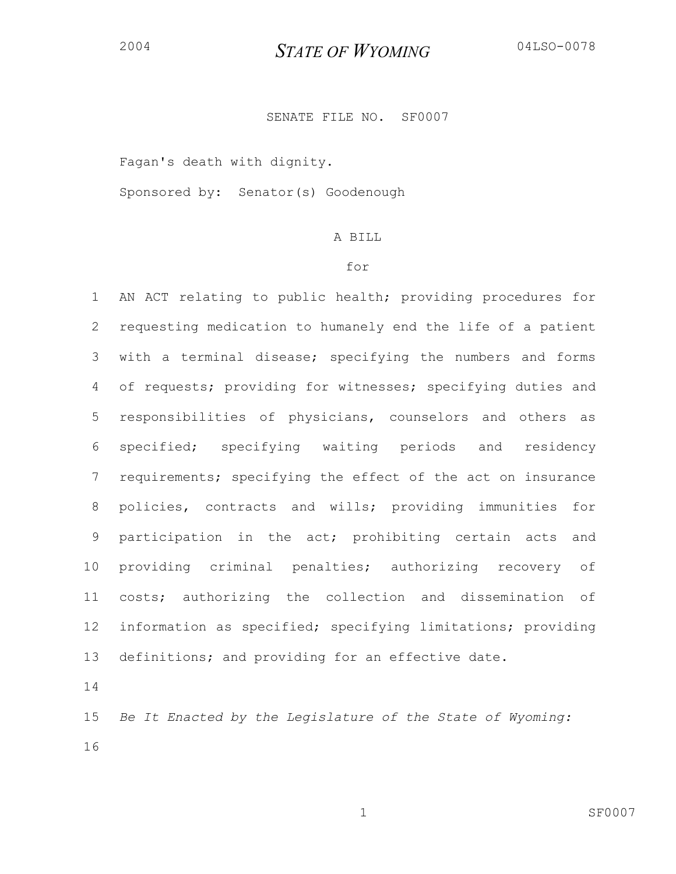## SENATE FILE NO. SF0007

Fagan's death with dignity.

Sponsored by: Senator(s) Goodenough

## A BILL

#### for

1 AN ACT relating to public health; providing procedures for 2 requesting medication to humanely end the life of a patient 3 with a terminal disease; specifying the numbers and forms 4 of requests; providing for witnesses; specifying duties and 5 responsibilities of physicians, counselors and others as 6 specified; specifying waiting periods and residency 7 requirements; specifying the effect of the act on insurance 8 policies, contracts and wills; providing immunities for 9 participation in the act; prohibiting certain acts and 10 providing criminal penalties; authorizing recovery of 11 costs; authorizing the collection and dissemination of 12 information as specified; specifying limitations; providing 13 definitions; and providing for an effective date.

14

15 *Be It Enacted by the Legislature of the State of Wyoming:* 16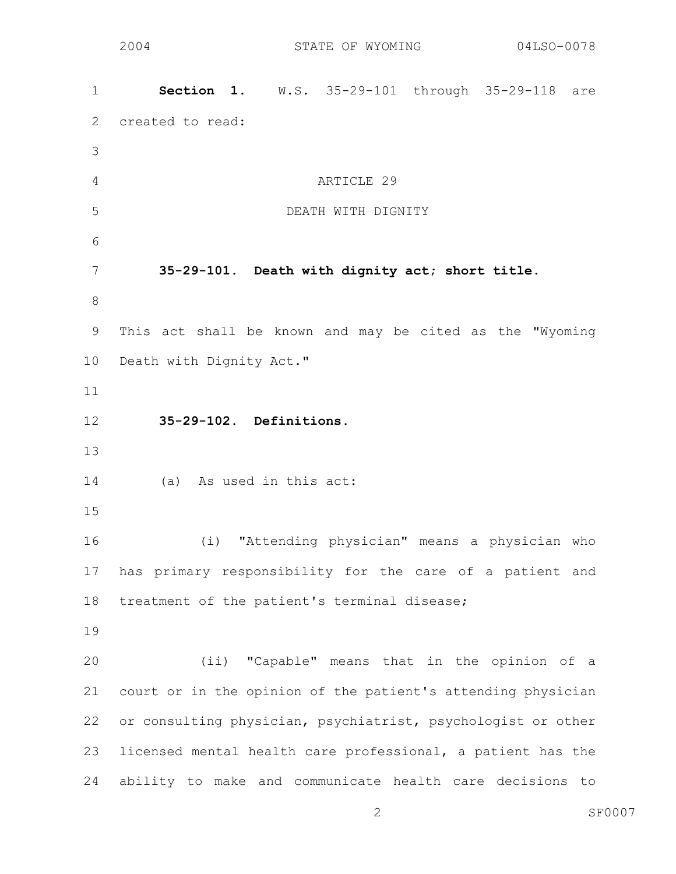1 **Section 1.** W.S. 35-29-101 through 35-29-118 are 2 created to read: 3 4 ARTICLE 29 5 DEATH WITH DIGNITY 6 7 **35-29-101. Death with dignity act; short title.**  8 9 This act shall be known and may be cited as the "Wyoming 10 Death with Dignity Act." 11 12 **35-29-102. Definitions.**  13 14 (a) As used in this act: 15 16 (i) "Attending physician" means a physician who 17 has primary responsibility for the care of a patient and 18 treatment of the patient's terminal disease; 19 20 (ii) "Capable" means that in the opinion of a 21 court or in the opinion of the patient's attending physician 22 or consulting physician, psychiatrist, psychologist or other 23 licensed mental health care professional, a patient has the 24 ability to make and communicate health care decisions to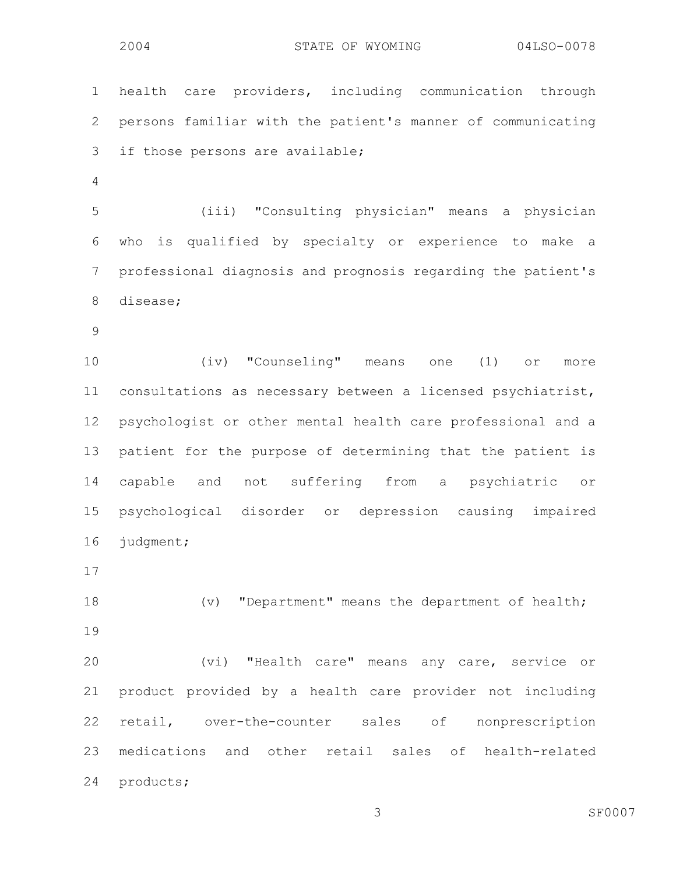1 health care providers, including communication through 2 persons familiar with the patient's manner of communicating 3 if those persons are available; 4 5 (iii) "Consulting physician" means a physician 6 who is qualified by specialty or experience to make a 7 professional diagnosis and prognosis regarding the patient's 8 disease; 9 10 (iv) "Counseling" means one (1) or more 11 consultations as necessary between a licensed psychiatrist, 12 psychologist or other mental health care professional and a 13 patient for the purpose of determining that the patient is

14 capable and not suffering from a psychiatric or 15 psychological disorder or depression causing impaired 16 judgment;

17

18 (v) "Department" means the department of health; 19

20 (vi) "Health care" means any care, service or 21 product provided by a health care provider not including 22 retail, over-the-counter sales of nonprescription 23 medications and other retail sales of health-related 24 products;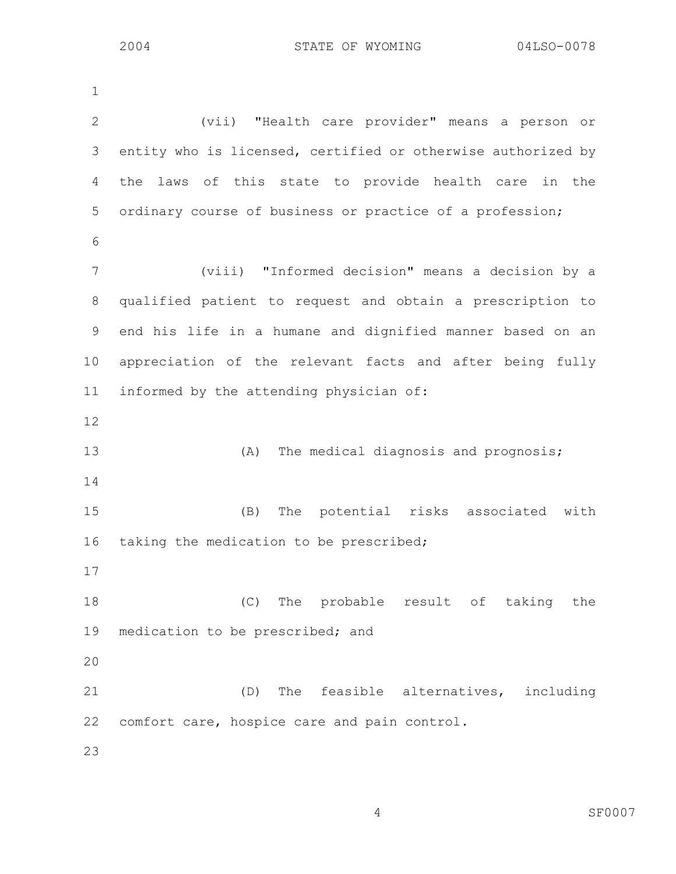1 2 (vii) "Health care provider" means a person or 3 entity who is licensed, certified or otherwise authorized by 4 the laws of this state to provide health care in the 5 ordinary course of business or practice of a profession; 6 7 (viii) "Informed decision" means a decision by a 8 qualified patient to request and obtain a prescription to 9 end his life in a humane and dignified manner based on an 10 appreciation of the relevant facts and after being fully 11 informed by the attending physician of: 12 13 (A) The medical diagnosis and prognosis; 14 15 (B) The potential risks associated with 16 taking the medication to be prescribed; 17 18 (C) The probable result of taking the 19 medication to be prescribed; and 20 21 (D) The feasible alternatives, including 22 comfort care, hospice care and pain control. 23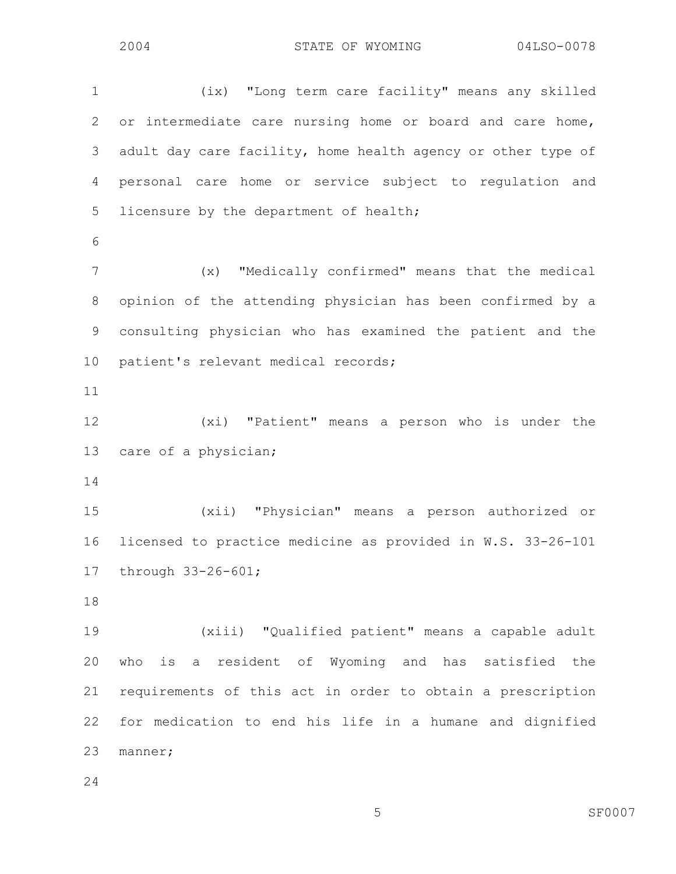1 (ix) "Long term care facility" means any skilled 2 or intermediate care nursing home or board and care home, 3 adult day care facility, home health agency or other type of 4 personal care home or service subject to regulation and 5 licensure by the department of health; 6 7 (x) "Medically confirmed" means that the medical 8 opinion of the attending physician has been confirmed by a 9 consulting physician who has examined the patient and the 10 patient's relevant medical records; 11 12 (xi) "Patient" means a person who is under the 13 care of a physician; 14 15 (xii) "Physician" means a person authorized or 16 licensed to practice medicine as provided in W.S. 33-26-101 17 through 33-26-601; 18 19 (xiii) "Qualified patient" means a capable adult 20 who is a resident of Wyoming and has satisfied the 21 requirements of this act in order to obtain a prescription 22 for medication to end his life in a humane and dignified 23 manner;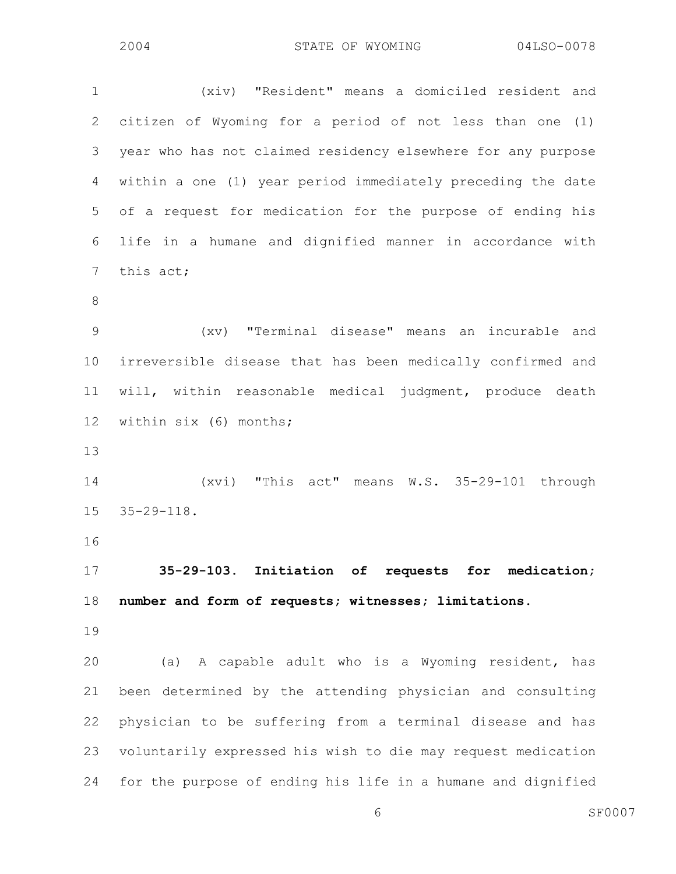6 SF0007 1 (xiv) "Resident" means a domiciled resident and 2 citizen of Wyoming for a period of not less than one (1) 3 year who has not claimed residency elsewhere for any purpose 4 within a one (1) year period immediately preceding the date 5 of a request for medication for the purpose of ending his 6 life in a humane and dignified manner in accordance with 7 this act; 8 9 (xv) "Terminal disease" means an incurable and 10 irreversible disease that has been medically confirmed and 11 will, within reasonable medical judgment, produce death 12 within six (6) months; 13 14 (xvi) "This act" means W.S. 35-29-101 through 15 35-29-118. 16 17 **35-29-103. Initiation of requests for medication;**  18 **number and form of requests; witnesses; limitations.**  19 20 (a) A capable adult who is a Wyoming resident, has 21 been determined by the attending physician and consulting 22 physician to be suffering from a terminal disease and has 23 voluntarily expressed his wish to die may request medication 24 for the purpose of ending his life in a humane and dignified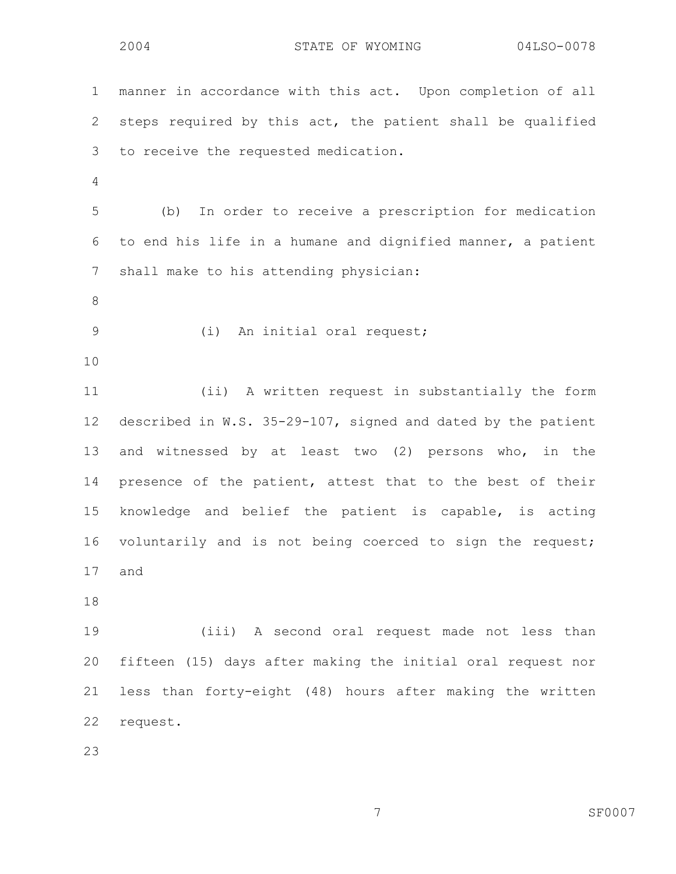1 manner in accordance with this act. Upon completion of all 2 steps required by this act, the patient shall be qualified 3 to receive the requested medication. 4 5 (b) In order to receive a prescription for medication 6 to end his life in a humane and dignified manner, a patient 7 shall make to his attending physician: 8 9 (i) An initial oral request; 10 11 (ii) A written request in substantially the form 12 described in W.S. 35-29-107, signed and dated by the patient 13 and witnessed by at least two (2) persons who, in the 14 presence of the patient, attest that to the best of their 15 knowledge and belief the patient is capable, is acting 16 voluntarily and is not being coerced to sign the request; 17 and 18 19 (iii) A second oral request made not less than 20 fifteen (15) days after making the initial oral request nor 21 less than forty-eight (48) hours after making the written 22 request.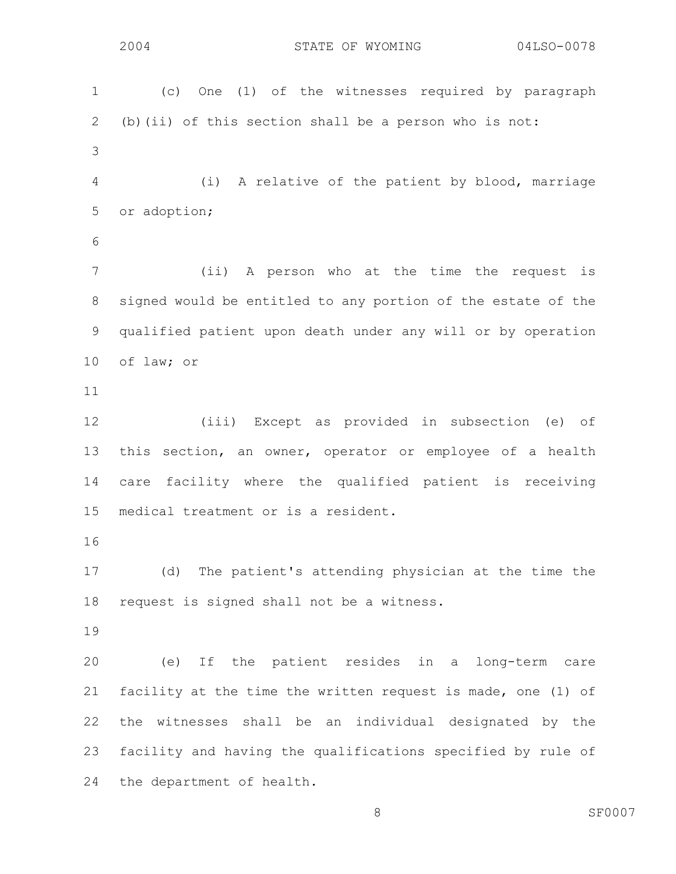| $\mathbf 1$ | (c) One (1) of the witnesses required by paragraph           |
|-------------|--------------------------------------------------------------|
| 2           | (b) (ii) of this section shall be a person who is not:       |
| 3           |                                                              |
| 4           | A relative of the patient by blood, marriage<br>(i)          |
| 5           | or adoption;                                                 |
| 6           |                                                              |
| 7           | (ii) A person who at the time the request is                 |
| $8\,$       | signed would be entitled to any portion of the estate of the |
| 9           | qualified patient upon death under any will or by operation  |
| 10          | of law; or                                                   |
| 11          |                                                              |
| 12          | (iii) Except as provided in subsection (e) of                |
| 13          | this section, an owner, operator or employee of a health     |
| 14          | care facility where the qualified patient is receiving       |
| 15          | medical treatment or is a resident.                          |
| 16          |                                                              |
| 17          | The patient's attending physician at the time the<br>(d)     |
| 18          | request is signed shall not be a witness.                    |
| 19          |                                                              |
| 20          | (e) If the patient resides in a long-term care               |
| 21          | facility at the time the written request is made, one (1) of |
| 22          | the witnesses shall be an individual designated by the       |
| 23          | facility and having the qualifications specified by rule of  |
| 24          | the department of health.                                    |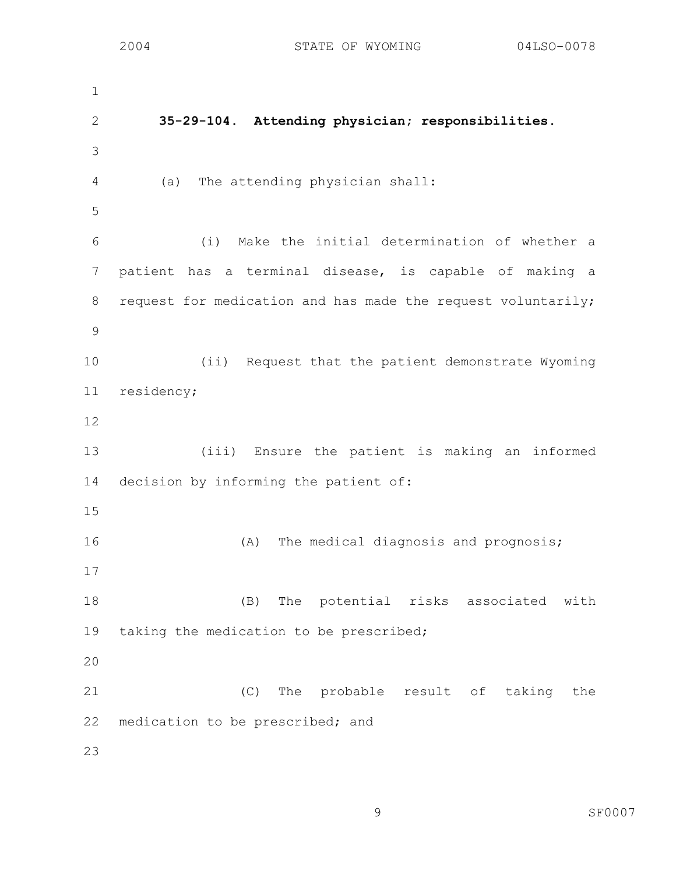1 2 **35-29-104. Attending physician; responsibilities.**  3 4 (a) The attending physician shall: 5 6 (i) Make the initial determination of whether a 7 patient has a terminal disease, is capable of making a 8 request for medication and has made the request voluntarily; 9 10 (ii) Request that the patient demonstrate Wyoming 11 residency; 12 13 (iii) Ensure the patient is making an informed 14 decision by informing the patient of: 15 16 (A) The medical diagnosis and prognosis; 17 18 (B) The potential risks associated with 19 taking the medication to be prescribed; 20 21 (C) The probable result of taking the 22 medication to be prescribed; and 23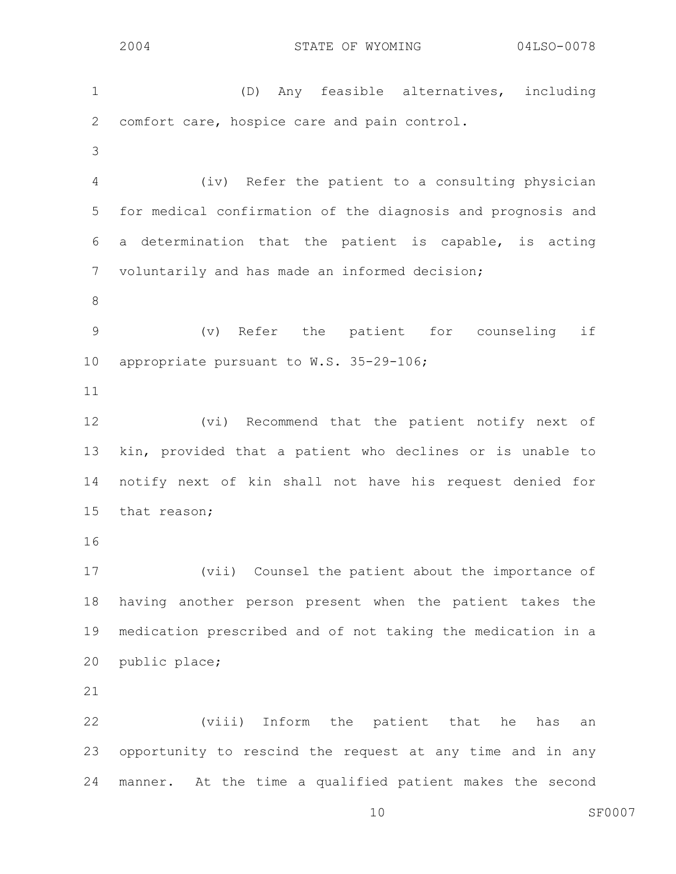2004 STATE OF WYOMING 04LSO-0078 1 (D) Any feasible alternatives, including 2 comfort care, hospice care and pain control. 3 4 (iv) Refer the patient to a consulting physician 5 for medical confirmation of the diagnosis and prognosis and 6 a determination that the patient is capable, is acting 7 voluntarily and has made an informed decision; 8 9 (v) Refer the patient for counseling if 10 appropriate pursuant to W.S. 35-29-106; 11 12 (vi) Recommend that the patient notify next of 13 kin, provided that a patient who declines or is unable to 14 notify next of kin shall not have his request denied for 15 that reason; 16 17 (vii) Counsel the patient about the importance of 18 having another person present when the patient takes the 19 medication prescribed and of not taking the medication in a 20 public place; 21 22 (viii) Inform the patient that he has an 23 opportunity to rescind the request at any time and in any 24 manner. At the time a qualified patient makes the second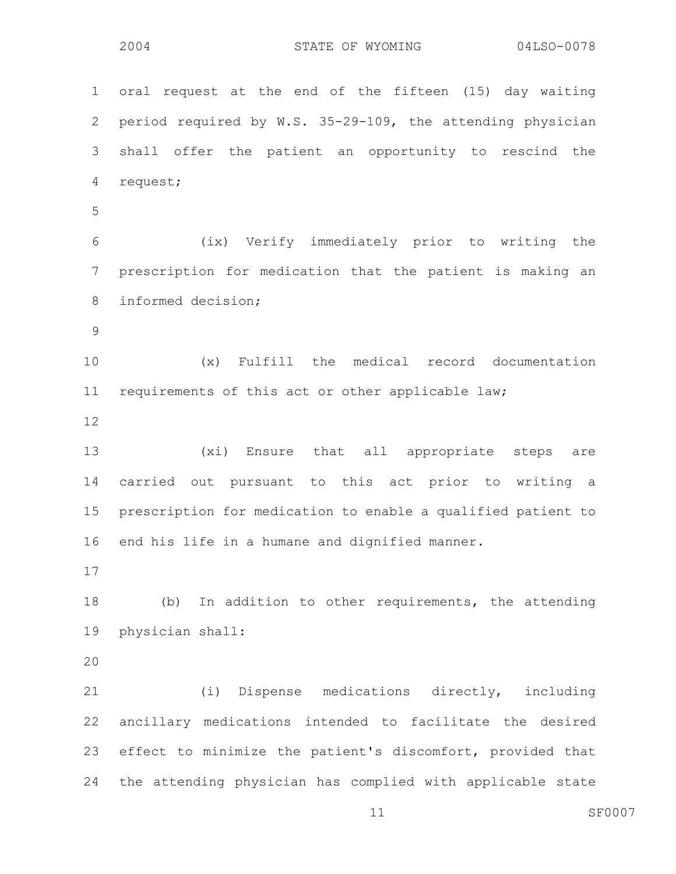1 oral request at the end of the fifteen (15) day waiting 2 period required by W.S. 35-29-109, the attending physician 3 shall offer the patient an opportunity to rescind the 4 request; 5 6 (ix) Verify immediately prior to writing the 7 prescription for medication that the patient is making an 8 informed decision; 9 10 (x) Fulfill the medical record documentation 11 requirements of this act or other applicable law; 12 13 (xi) Ensure that all appropriate steps are 14 carried out pursuant to this act prior to writing a 15 prescription for medication to enable a qualified patient to 16 end his life in a humane and dignified manner. 17 18 (b) In addition to other requirements, the attending 19 physician shall: 20 21 (i) Dispense medications directly, including 22 ancillary medications intended to facilitate the desired 23 effect to minimize the patient's discomfort, provided that 24 the attending physician has complied with applicable state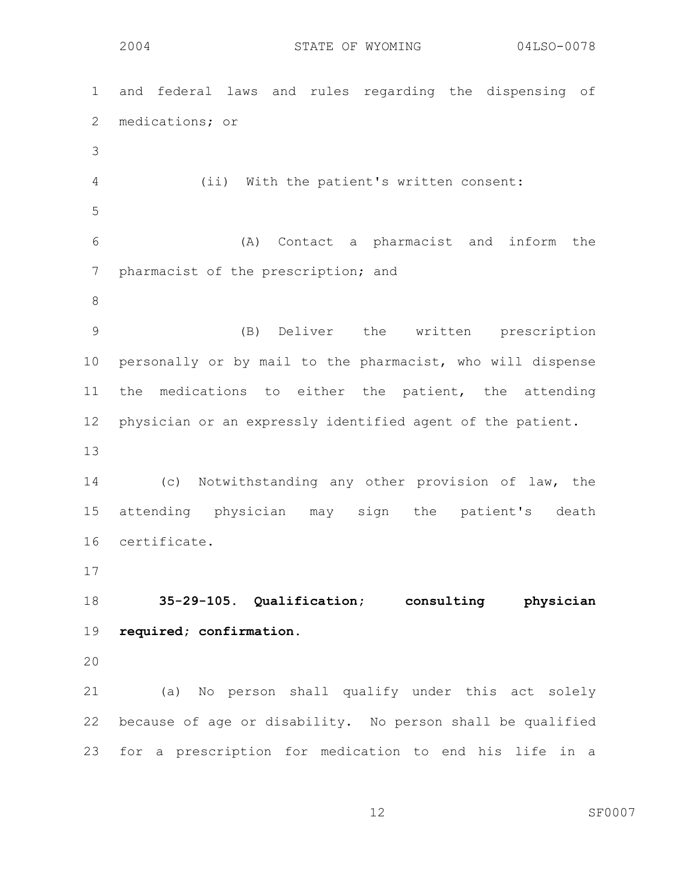1 and federal laws and rules regarding the dispensing of 2 medications; or 3 4 (ii) With the patient's written consent: 5 6 (A) Contact a pharmacist and inform the 7 pharmacist of the prescription; and 8 9 (B) Deliver the written prescription 10 personally or by mail to the pharmacist, who will dispense 11 the medications to either the patient, the attending 12 physician or an expressly identified agent of the patient. 13 14 (c) Notwithstanding any other provision of law, the 15 attending physician may sign the patient's death 16 certificate. 17 18 **35-29-105. Qualification; consulting physician**  19 **required; confirmation.**  20 21 (a) No person shall qualify under this act solely 22 because of age or disability. No person shall be qualified 23 for a prescription for medication to end his life in a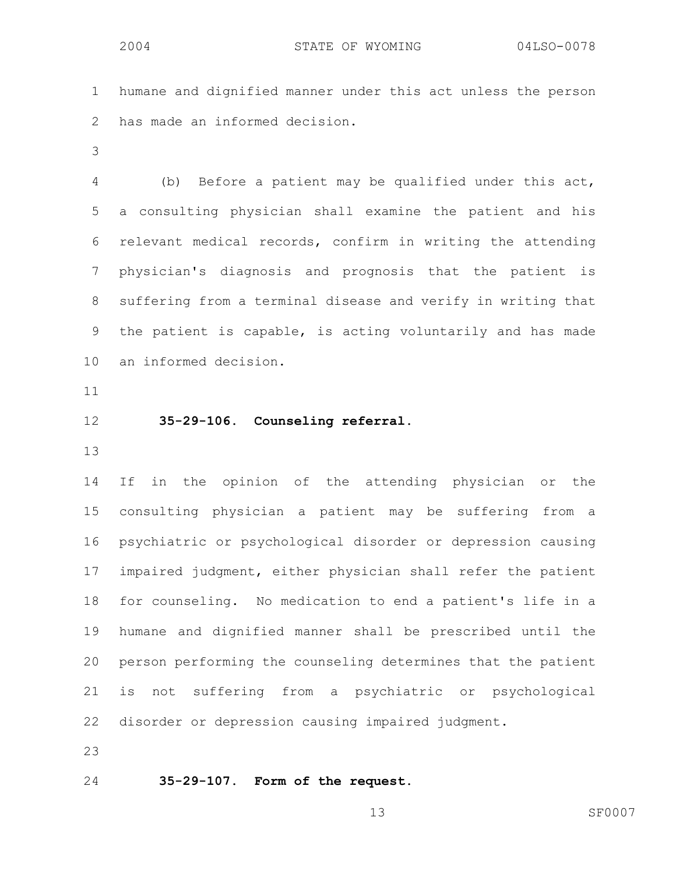1 humane and dignified manner under this act unless the person 2 has made an informed decision.

3

4 (b) Before a patient may be qualified under this act, 5 a consulting physician shall examine the patient and his 6 relevant medical records, confirm in writing the attending 7 physician's diagnosis and prognosis that the patient is 8 suffering from a terminal disease and verify in writing that 9 the patient is capable, is acting voluntarily and has made 10 an informed decision.

- 11
- 12 **35-29-106. Counseling referral.**
- 13

14 If in the opinion of the attending physician or the 15 consulting physician a patient may be suffering from a 16 psychiatric or psychological disorder or depression causing 17 impaired judgment, either physician shall refer the patient 18 for counseling. No medication to end a patient's life in a 19 humane and dignified manner shall be prescribed until the 20 person performing the counseling determines that the patient 21 is not suffering from a psychiatric or psychological 22 disorder or depression causing impaired judgment.

23

24 **35-29-107. Form of the request.**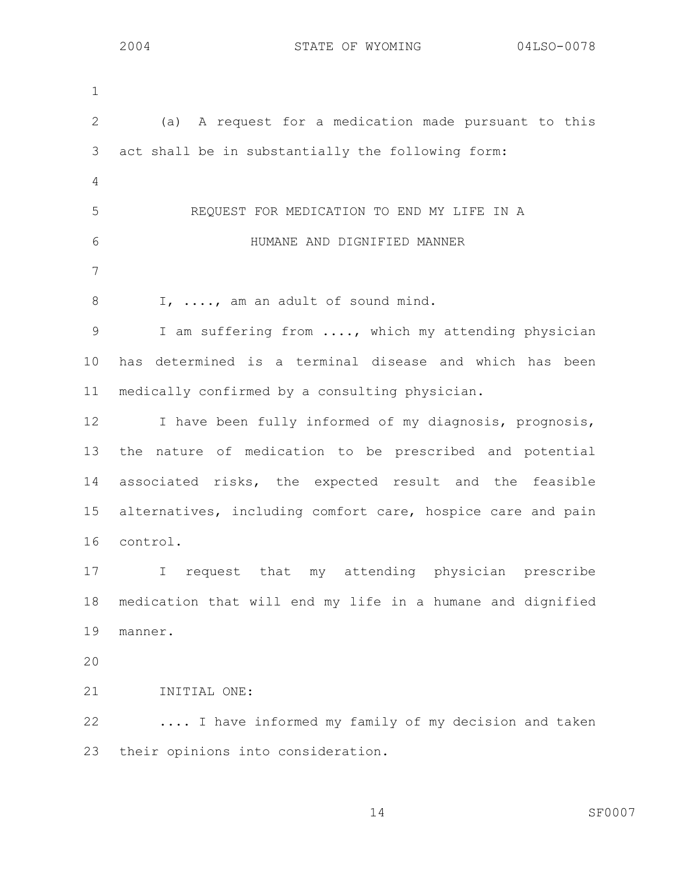| $\mathbf 1$     |                                                             |
|-----------------|-------------------------------------------------------------|
| $\mathbf{2}$    | (a) A request for a medication made pursuant to this        |
| 3               | act shall be in substantially the following form:           |
| 4               |                                                             |
| 5               | REQUEST FOR MEDICATION TO END MY LIFE IN A                  |
| 6               | HUMANE AND DIGNIFIED MANNER                                 |
| 7               |                                                             |
| 8               | I, , am an adult of sound mind.                             |
| $\mathcal{G}$   | I am suffering from , which my attending physician          |
| 10 <sub>o</sub> | has determined is a terminal disease and which has been     |
| 11              | medically confirmed by a consulting physician.              |
| 12              | I have been fully informed of my diagnosis, prognosis,      |
| 13              | nature of medication to be prescribed and potential<br>the  |
| 14              | associated risks, the expected result and the feasible      |
| 15              | alternatives, including comfort care, hospice care and pain |
| 16              | control.                                                    |
| 17              | I request that my attending physician prescribe             |
| 18              | medication that will end my life in a humane and dignified  |
| 19              | manner.                                                     |
| 20              |                                                             |
| 21              | INITIAL ONE:                                                |
| 22              | I have informed my family of my decision and taken          |
| 23              | their opinions into consideration.                          |
|                 |                                                             |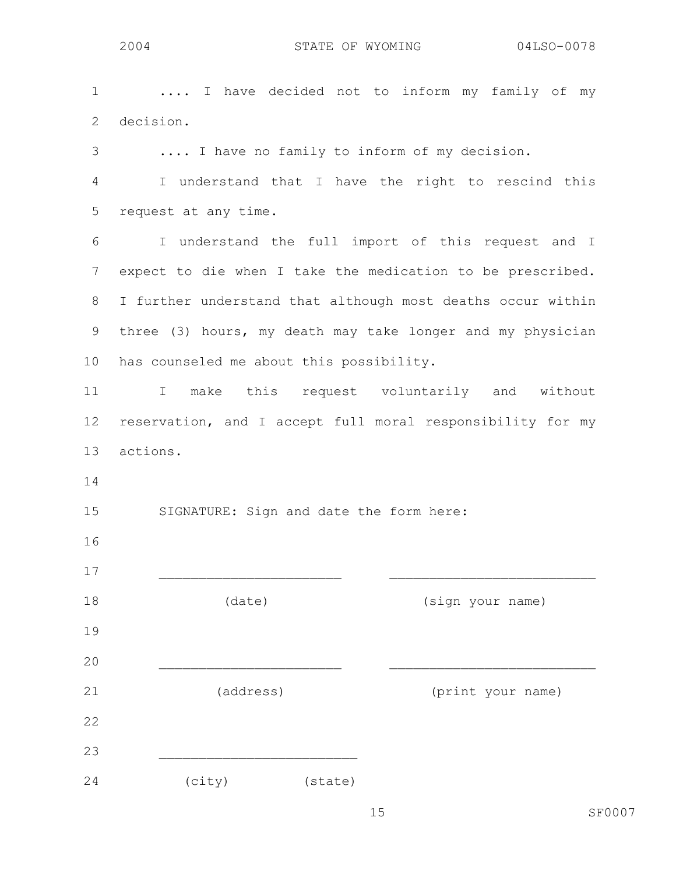| $\mathbf 1$     | I have decided not to inform my family of my                |
|-----------------|-------------------------------------------------------------|
| $\overline{2}$  | decision.                                                   |
| 3               | I have no family to inform of my decision.                  |
| 4               | I understand that I have the right to rescind this          |
| 5               | request at any time.                                        |
| 6               | I understand the full import of this request and I          |
| $7\phantom{.0}$ | expect to die when I take the medication to be prescribed.  |
| 8               | I further understand that although most deaths occur within |
| 9               | three (3) hours, my death may take longer and my physician  |
| 10              | has counseled me about this possibility.                    |
| 11              | make this request voluntarily and without<br>$\mathbb{I}$   |
| 12              | reservation, and I accept full moral responsibility for my  |
| 13              | actions.                                                    |
| 14              |                                                             |
| 15              | SIGNATURE: Sign and date the form here:                     |
| 16              |                                                             |
| 17              |                                                             |
| 18              | (date)<br>(sign your name)                                  |
| 19              |                                                             |
| 20              |                                                             |
| 21              | (address)<br>(print your name)                              |
| 22              |                                                             |
| 23              |                                                             |
| 24              | (city)<br>(state)                                           |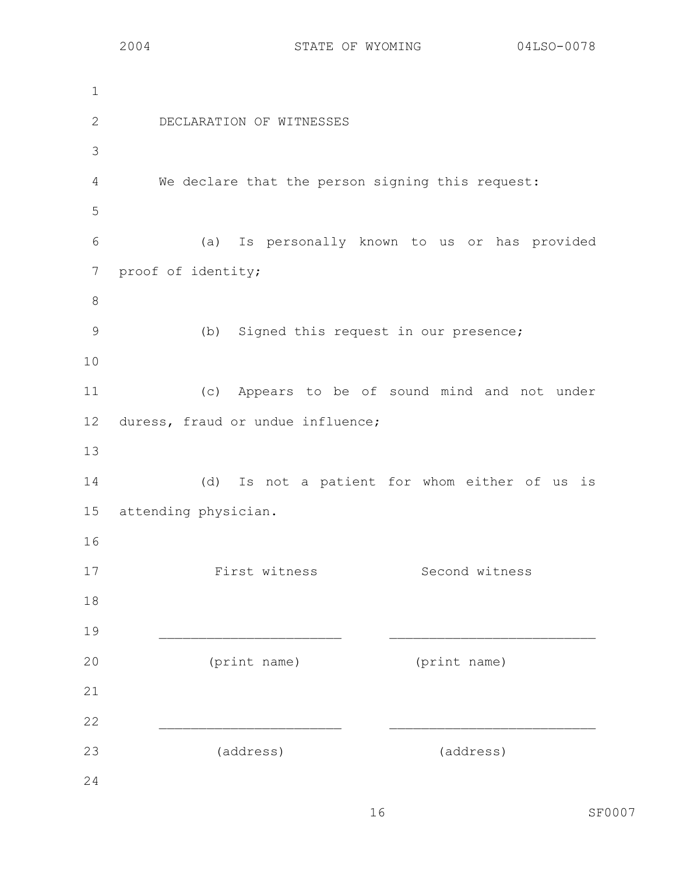1 2 DECLARATION OF WITNESSES 3 4 We declare that the person signing this request: 5 6 (a) Is personally known to us or has provided 7 proof of identity; 8 9 (b) Signed this request in our presence; 10 11 (c) Appears to be of sound mind and not under 12 duress, fraud or undue influence; 13 14 (d) Is not a patient for whom either of us is 15 attending physician. 16 17 First witness Second witness 18 19 \_\_\_\_\_\_\_\_\_\_\_\_\_\_\_\_\_\_\_\_\_\_\_ \_\_\_\_\_\_\_\_\_\_\_\_\_\_\_\_\_\_\_\_\_\_\_\_\_\_ 20 (print name) (print name) 21 22  $\blacksquare$ 23 (address) (address) 24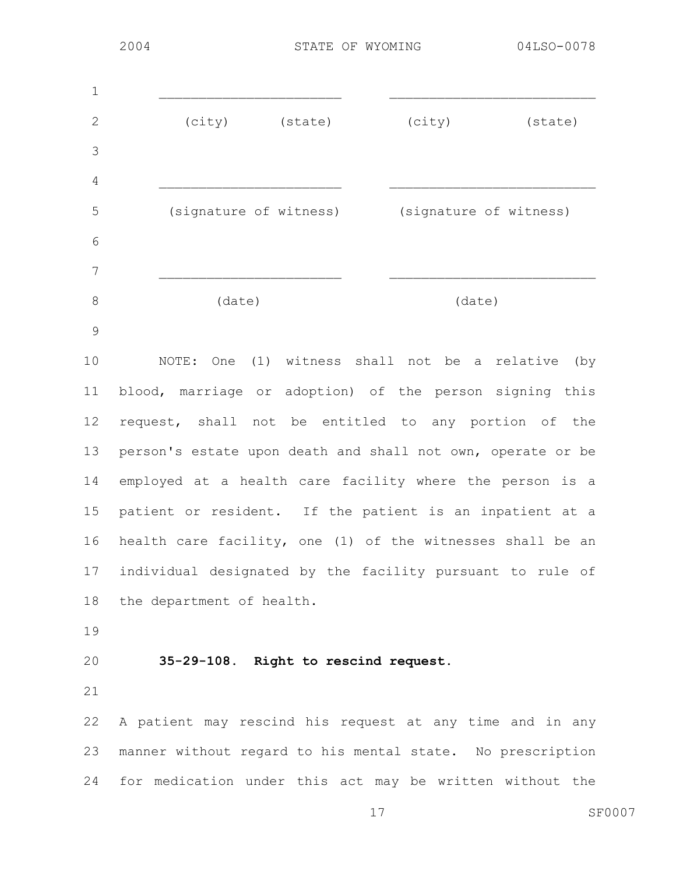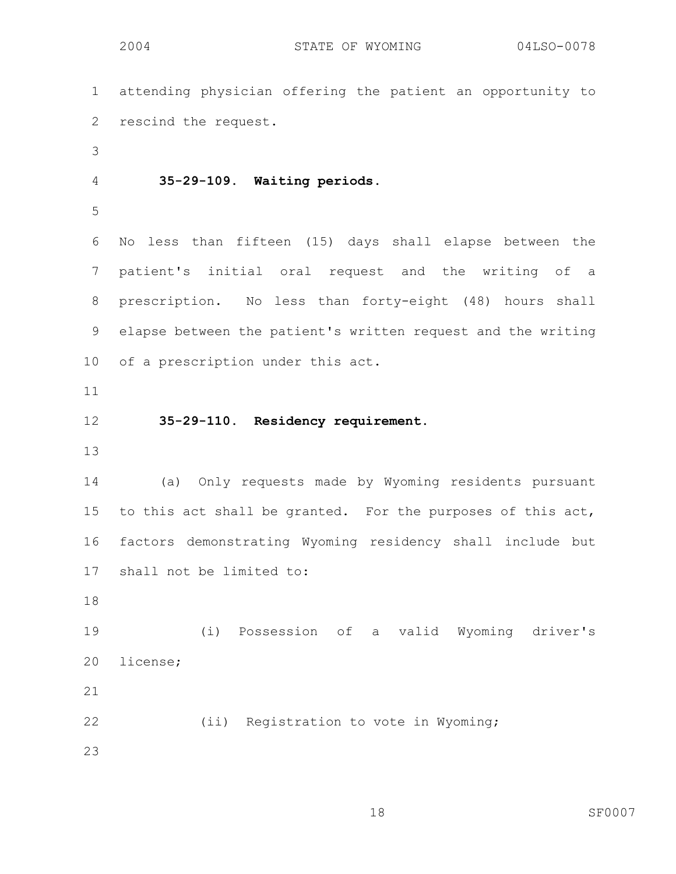1 attending physician offering the patient an opportunity to 2 rescind the request. 3 4 **35-29-109. Waiting periods.**  5 6 No less than fifteen (15) days shall elapse between the 7 patient's initial oral request and the writing of a 8 prescription. No less than forty-eight (48) hours shall 9 elapse between the patient's written request and the writing 10 of a prescription under this act. 11 12 **35-29-110. Residency requirement.**  13 14 (a) Only requests made by Wyoming residents pursuant 15 to this act shall be granted. For the purposes of this act, 16 factors demonstrating Wyoming residency shall include but 17 shall not be limited to: 18 19 (i) Possession of a valid Wyoming driver's 20 license; 21 22 (ii) Registration to vote in Wyoming; 23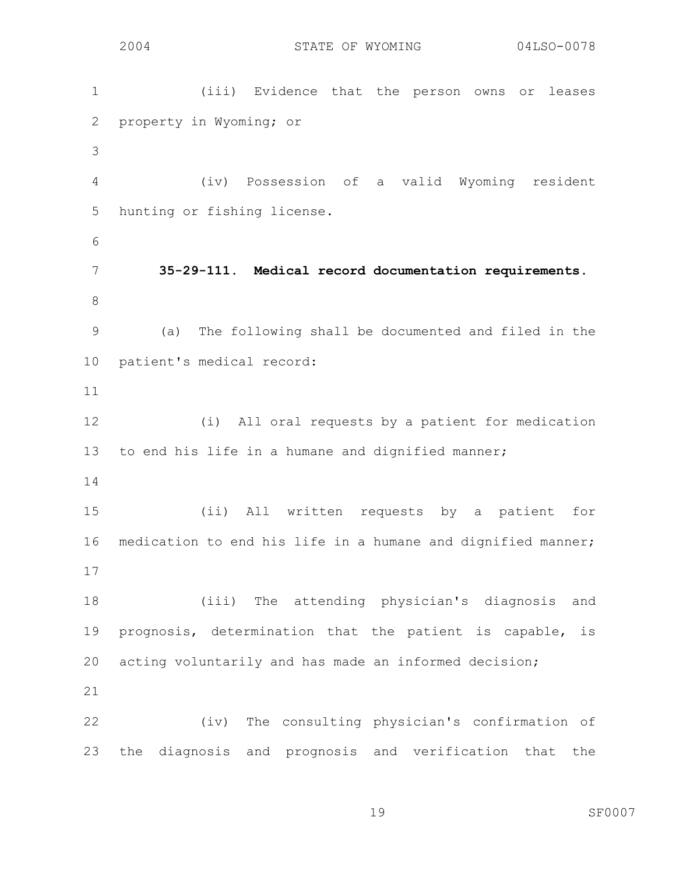1 (iii) Evidence that the person owns or leases 2 property in Wyoming; or 3 4 (iv) Possession of a valid Wyoming resident 5 hunting or fishing license. 6 7 **35-29-111. Medical record documentation requirements.**  8 9 (a) The following shall be documented and filed in the 10 patient's medical record: 11 12 (i) All oral requests by a patient for medication 13 to end his life in a humane and dignified manner; 14 15 (ii) All written requests by a patient for 16 medication to end his life in a humane and dignified manner; 17 18 (iii) The attending physician's diagnosis and 19 prognosis, determination that the patient is capable, is 20 acting voluntarily and has made an informed decision; 21 22 (iv) The consulting physician's confirmation of 23 the diagnosis and prognosis and verification that the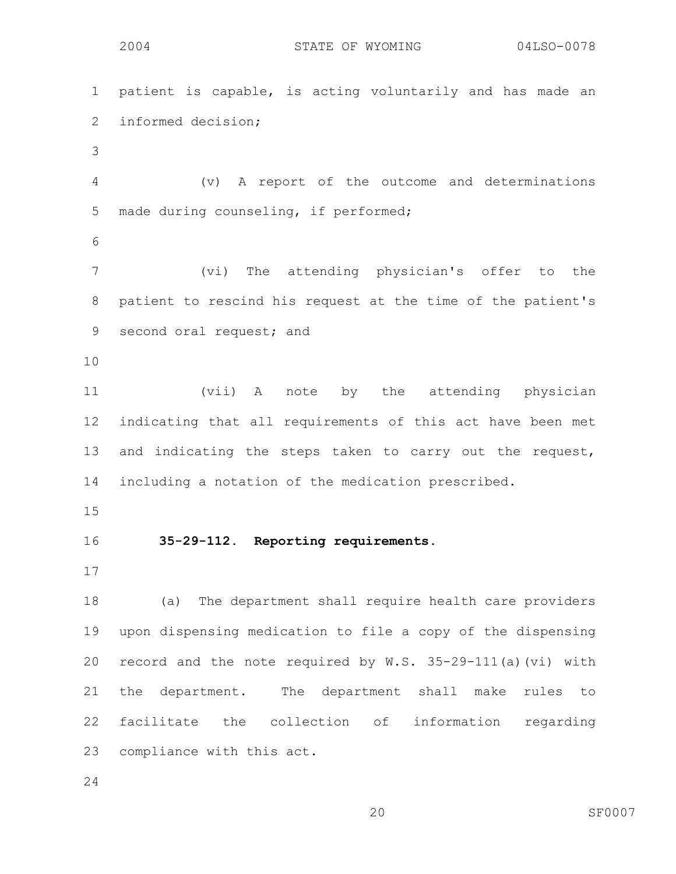```
2004 STATE OF WYOMING 04LSO-0078
1 patient is capable, is acting voluntarily and has made an 
2 informed decision; 
3 
4 (v) A report of the outcome and determinations 
5 made during counseling, if performed; 
6 
7 (vi) The attending physician's offer to the 
8 patient to rescind his request at the time of the patient's 
9 second oral request; and 
10 
11 (vii) A note by the attending physician 
12 indicating that all requirements of this act have been met 
13 and indicating the steps taken to carry out the request, 
14 including a notation of the medication prescribed. 
15 
16 35-29-112. Reporting requirements. 
17 
18 (a) The department shall require health care providers 
19 upon dispensing medication to file a copy of the dispensing 
20 record and the note required by W.S. 35-29-111(a)(vi) with 
21 the department. The department shall make rules to 
22 facilitate the collection of information regarding 
23 compliance with this act.
```
24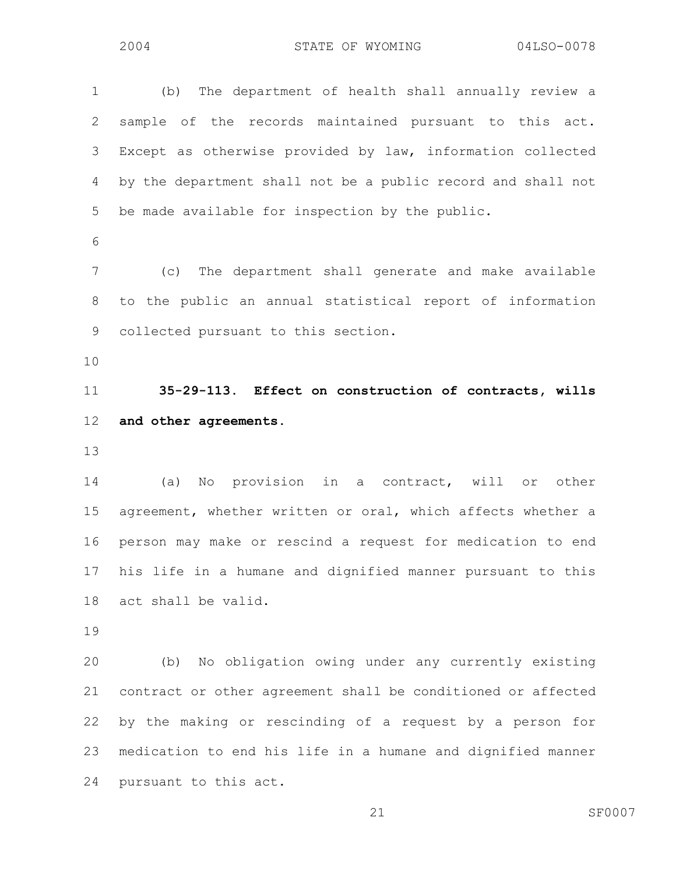1 (b) The department of health shall annually review a 2 sample of the records maintained pursuant to this act. 3 Except as otherwise provided by law, information collected 4 by the department shall not be a public record and shall not 5 be made available for inspection by the public. 6 7 (c) The department shall generate and make available 8 to the public an annual statistical report of information 9 collected pursuant to this section. 10 11 **35-29-113. Effect on construction of contracts, wills**  12 **and other agreements.**  13 14 (a) No provision in a contract, will or other 15 agreement, whether written or oral, which affects whether a 16 person may make or rescind a request for medication to end 17 his life in a humane and dignified manner pursuant to this 18 act shall be valid. 19 20 (b) No obligation owing under any currently existing 21 contract or other agreement shall be conditioned or affected 22 by the making or rescinding of a request by a person for 23 medication to end his life in a humane and dignified manner

24 pursuant to this act.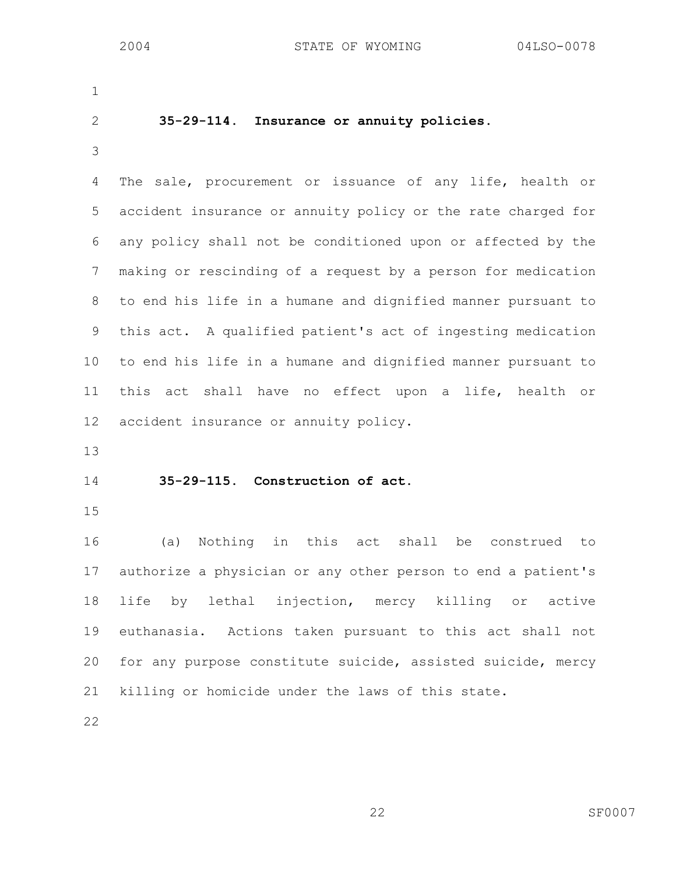1

### 2 **35-29-114. Insurance or annuity policies.**

3

4 The sale, procurement or issuance of any life, health or 5 accident insurance or annuity policy or the rate charged for 6 any policy shall not be conditioned upon or affected by the 7 making or rescinding of a request by a person for medication 8 to end his life in a humane and dignified manner pursuant to 9 this act. A qualified patient's act of ingesting medication 10 to end his life in a humane and dignified manner pursuant to 11 this act shall have no effect upon a life, health or 12 accident insurance or annuity policy.

13

#### 14 **35-29-115. Construction of act.**

15

16 (a) Nothing in this act shall be construed to 17 authorize a physician or any other person to end a patient's 18 life by lethal injection, mercy killing or active 19 euthanasia. Actions taken pursuant to this act shall not 20 for any purpose constitute suicide, assisted suicide, mercy 21 killing or homicide under the laws of this state.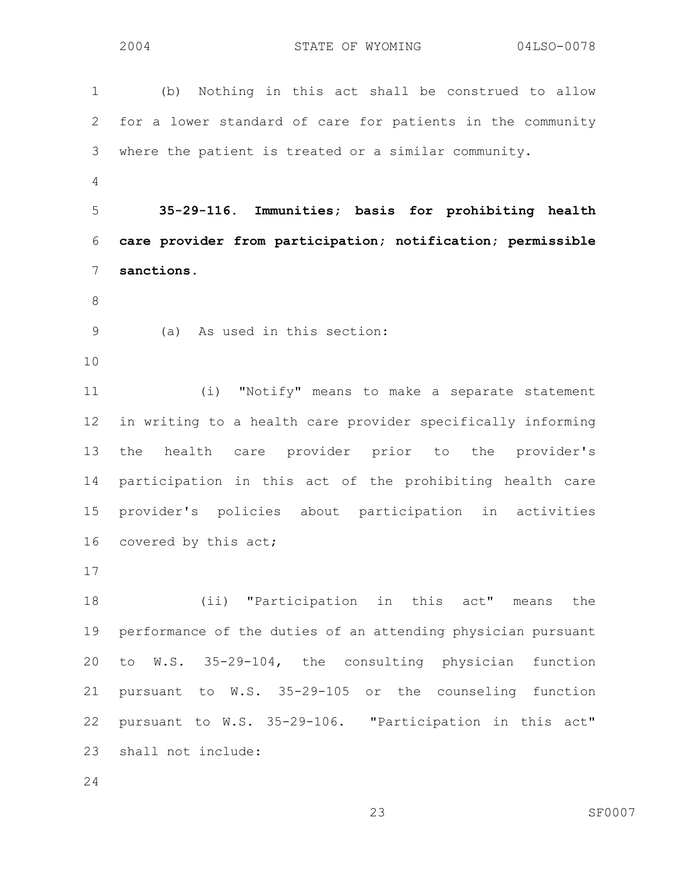1 (b) Nothing in this act shall be construed to allow 2 for a lower standard of care for patients in the community 3 where the patient is treated or a similar community. 4 5 **35-29-116. Immunities; basis for prohibiting health**  6 **care provider from participation; notification; permissible**  7 **sanctions.**  8 9 (a) As used in this section: 10 11 (i) "Notify" means to make a separate statement 12 in writing to a health care provider specifically informing 13 the health care provider prior to the provider's 14 participation in this act of the prohibiting health care 15 provider's policies about participation in activities 16 covered by this act; 17 18 (ii) "Participation in this act" means the 19 performance of the duties of an attending physician pursuant 20 to W.S. 35-29-104, the consulting physician function 21 pursuant to W.S. 35-29-105 or the counseling function 22 pursuant to W.S. 35-29-106. "Participation in this act" 23 shall not include: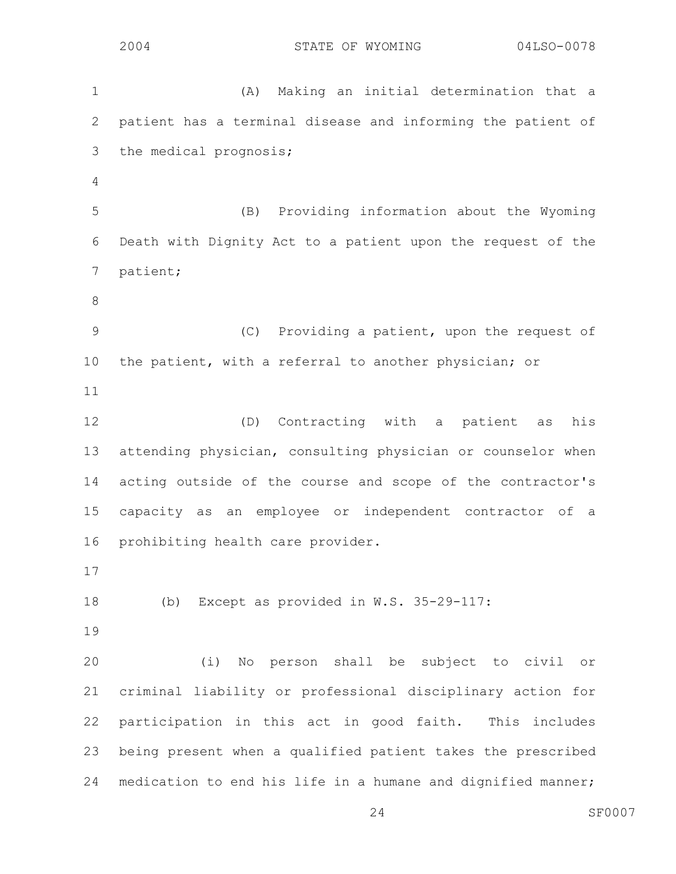1 (A) Making an initial determination that a 2 patient has a terminal disease and informing the patient of 3 the medical prognosis; 4 5 (B) Providing information about the Wyoming 6 Death with Dignity Act to a patient upon the request of the 7 patient; 8 9 (C) Providing a patient, upon the request of 10 the patient, with a referral to another physician; or 11 12 (D) Contracting with a patient as his 13 attending physician, consulting physician or counselor when 14 acting outside of the course and scope of the contractor's 15 capacity as an employee or independent contractor of a 16 prohibiting health care provider. 17 18 (b) Except as provided in W.S. 35-29-117: 19 20 (i) No person shall be subject to civil or 21 criminal liability or professional disciplinary action for 22 participation in this act in good faith. This includes 23 being present when a qualified patient takes the prescribed 24 medication to end his life in a humane and dignified manner;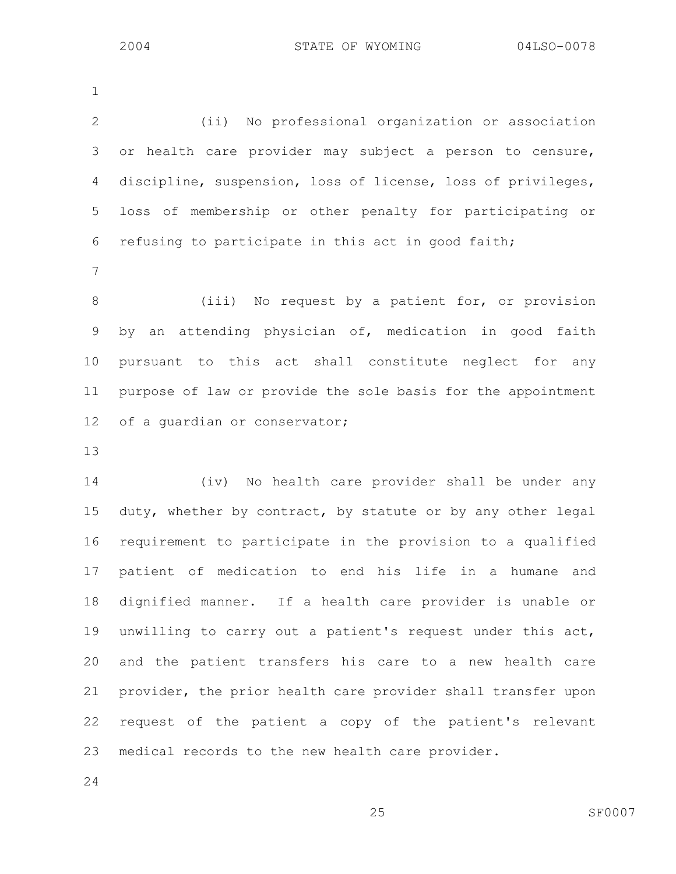1

2 (ii) No professional organization or association 3 or health care provider may subject a person to censure, 4 discipline, suspension, loss of license, loss of privileges, 5 loss of membership or other penalty for participating or 6 refusing to participate in this act in good faith;

7

8 (iii) No request by a patient for, or provision 9 by an attending physician of, medication in good faith 10 pursuant to this act shall constitute neglect for any 11 purpose of law or provide the sole basis for the appointment 12 of a guardian or conservator;

13

14 (iv) No health care provider shall be under any 15 duty, whether by contract, by statute or by any other legal 16 requirement to participate in the provision to a qualified 17 patient of medication to end his life in a humane and 18 dignified manner. If a health care provider is unable or 19 unwilling to carry out a patient's request under this act, 20 and the patient transfers his care to a new health care 21 provider, the prior health care provider shall transfer upon 22 request of the patient a copy of the patient's relevant 23 medical records to the new health care provider.

24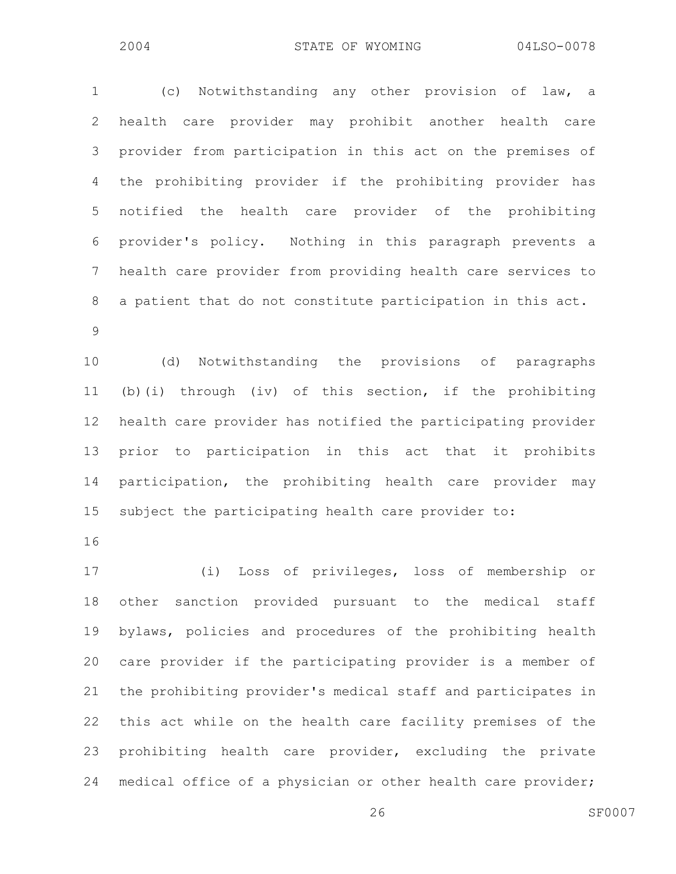1 (c) Notwithstanding any other provision of law, a 2 health care provider may prohibit another health care 3 provider from participation in this act on the premises of 4 the prohibiting provider if the prohibiting provider has 5 notified the health care provider of the prohibiting 6 provider's policy. Nothing in this paragraph prevents a 7 health care provider from providing health care services to 8 a patient that do not constitute participation in this act. 9

10 (d) Notwithstanding the provisions of paragraphs 11 (b)(i) through (iv) of this section, if the prohibiting 12 health care provider has notified the participating provider 13 prior to participation in this act that it prohibits 14 participation, the prohibiting health care provider may 15 subject the participating health care provider to:

16

17 (i) Loss of privileges, loss of membership or 18 other sanction provided pursuant to the medical staff 19 bylaws, policies and procedures of the prohibiting health 20 care provider if the participating provider is a member of 21 the prohibiting provider's medical staff and participates in 22 this act while on the health care facility premises of the 23 prohibiting health care provider, excluding the private 24 medical office of a physician or other health care provider;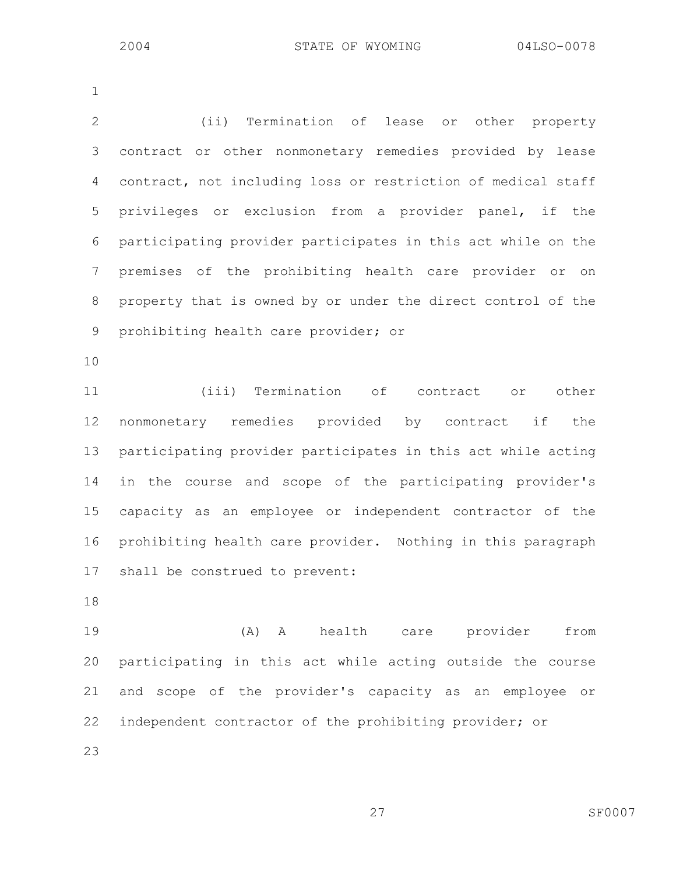1

2 (ii) Termination of lease or other property 3 contract or other nonmonetary remedies provided by lease 4 contract, not including loss or restriction of medical staff 5 privileges or exclusion from a provider panel, if the 6 participating provider participates in this act while on the 7 premises of the prohibiting health care provider or on 8 property that is owned by or under the direct control of the 9 prohibiting health care provider; or

10

11 (iii) Termination of contract or other 12 nonmonetary remedies provided by contract if the 13 participating provider participates in this act while acting 14 in the course and scope of the participating provider's 15 capacity as an employee or independent contractor of the 16 prohibiting health care provider. Nothing in this paragraph 17 shall be construed to prevent:

18

19 (A) A health care provider from 20 participating in this act while acting outside the course 21 and scope of the provider's capacity as an employee or 22 independent contractor of the prohibiting provider; or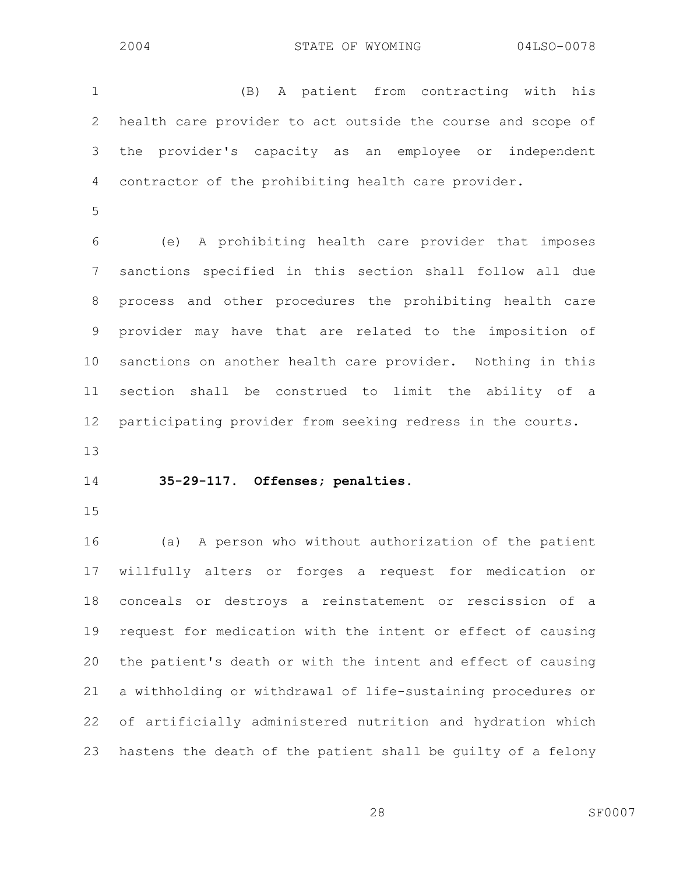1 (B) A patient from contracting with his 2 health care provider to act outside the course and scope of 3 the provider's capacity as an employee or independent 4 contractor of the prohibiting health care provider.

5

6 (e) A prohibiting health care provider that imposes 7 sanctions specified in this section shall follow all due 8 process and other procedures the prohibiting health care 9 provider may have that are related to the imposition of 10 sanctions on another health care provider. Nothing in this 11 section shall be construed to limit the ability of a 12 participating provider from seeking redress in the courts.

13

### 14 **35-29-117. Offenses; penalties.**

15

16 (a) A person who without authorization of the patient 17 willfully alters or forges a request for medication or 18 conceals or destroys a reinstatement or rescission of a 19 request for medication with the intent or effect of causing 20 the patient's death or with the intent and effect of causing 21 a withholding or withdrawal of life-sustaining procedures or 22 of artificially administered nutrition and hydration which 23 hastens the death of the patient shall be guilty of a felony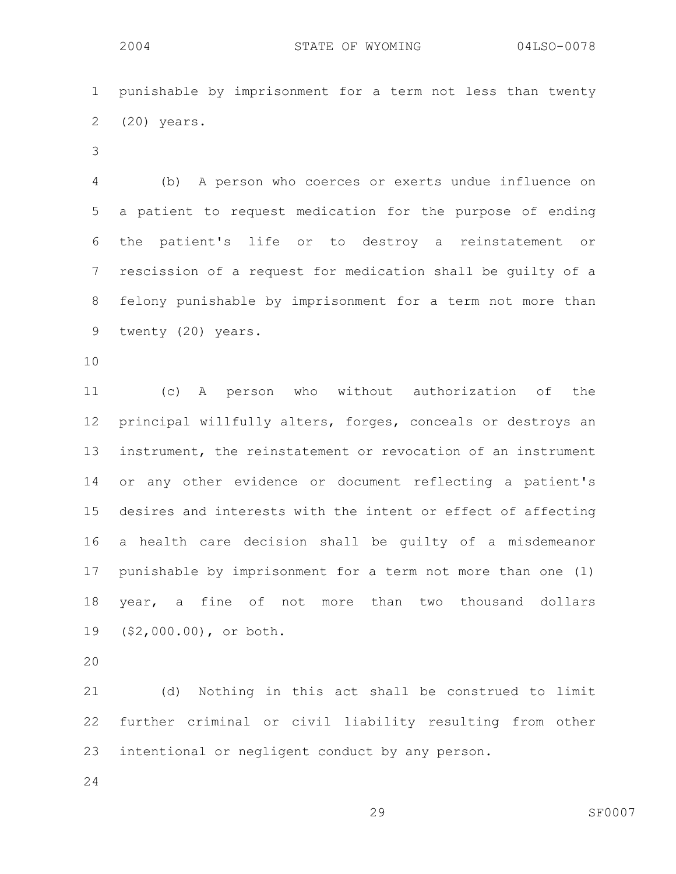1 punishable by imprisonment for a term not less than twenty 2 (20) years.

3

4 (b) A person who coerces or exerts undue influence on 5 a patient to request medication for the purpose of ending 6 the patient's life or to destroy a reinstatement or 7 rescission of a request for medication shall be guilty of a 8 felony punishable by imprisonment for a term not more than 9 twenty (20) years.

10

11 (c) A person who without authorization of the 12 principal willfully alters, forges, conceals or destroys an 13 instrument, the reinstatement or revocation of an instrument 14 or any other evidence or document reflecting a patient's 15 desires and interests with the intent or effect of affecting 16 a health care decision shall be guilty of a misdemeanor 17 punishable by imprisonment for a term not more than one (1) 18 year, a fine of not more than two thousand dollars 19 (\$2,000.00), or both.

20

21 (d) Nothing in this act shall be construed to limit 22 further criminal or civil liability resulting from other 23 intentional or negligent conduct by any person.